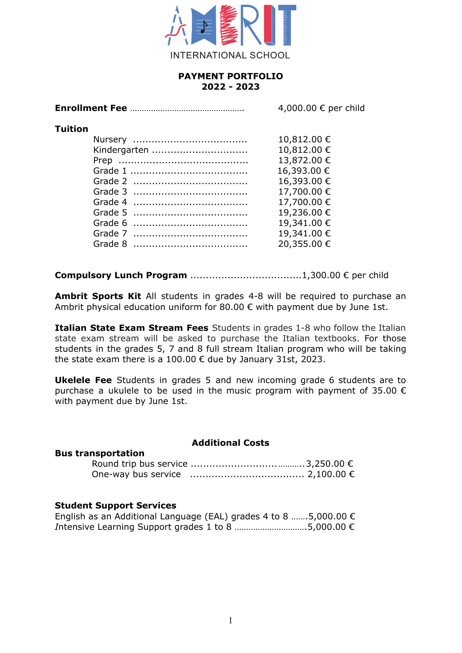

# **PAYMENT PORTFOLIO 2022 - 2023**

| 4,000.00 € per child |
|----------------------|
|                      |
| 10,812.00 €          |
| 10,812.00 €          |
| 13,872.00 €          |
| 16,393.00 €          |
| 16,393.00 €          |
| 17,700.00€           |
| 17,700.00€           |
| 19,236.00€           |
| 19,341.00 €          |
| 19,341.00€           |
| 20,355.00 €          |
|                      |
|                      |

**Compulsory Lunch Program** ....................................1,300.00 € per child

**Ambrit Sports Kit** All students in grades 4-8 will be required to purchase an Ambrit physical education uniform for 80.00  $\epsilon$  with payment due by June 1st.

**Italian State Exam Stream Fees** Students in grades 1-8 who follow the Italian state exam stream will be asked to purchase the Italian textbooks. For those students in the grades 5, 7 and 8 full stream Italian program who will be taking the state exam there is a 100.00 € due by January 31st, 2023.

**Ukelele Fee** Students in grades 5 and new incoming grade 6 students are to purchase a ukulele to be used in the music program with payment of 35.00  $\epsilon$ with payment due by June 1st.

#### **Additional Costs**

#### **Student Support Services**

**Bus transportation**

| English as an Additional Language (EAL) grades 4 to 8 5,000.00 $\epsilon$ |  |
|---------------------------------------------------------------------------|--|
| Intensive Learning Support grades 1 to 8 5,000.00 $\epsilon$              |  |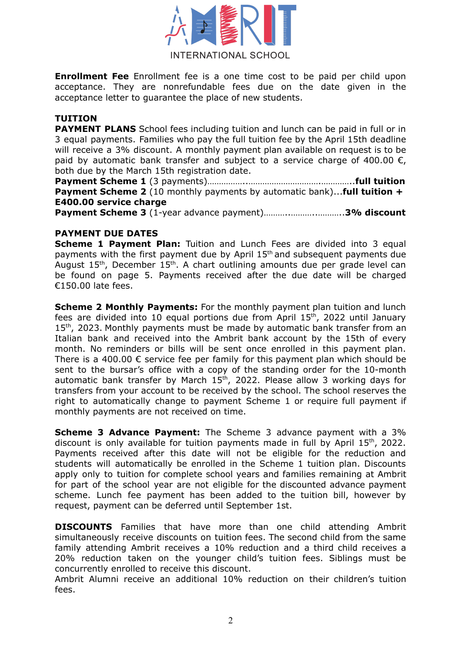

**Enrollment Fee** Enrollment fee is a one time cost to be paid per child upon acceptance. They are nonrefundable fees due on the date given in the acceptance letter to guarantee the place of new students.

# **TUITION**

**PAYMENT PLANS** School fees including tuition and lunch can be paid in full or in 3 equal payments. Families who pay the full tuition fee by the April 15th deadline will receive a 3% discount. A monthly payment plan available on request is to be paid by automatic bank transfer and subject to a service charge of 400.00  $\epsilon$ , both due by the March 15th registration date.

**Payment Scheme 1** (3 payments)……………..………………………….…………..**full tuition Payment Scheme 2** (10 monthly payments by automatic bank)...**full tuition + E400.00 service charge**

**Payment Scheme 3** (1-year advance payment)………..………..………..**3% discount**

### **PAYMENT DUE DATES**

**Scheme 1 Payment Plan:** Tuition and Lunch Fees are divided into 3 equal payments with the first payment due by April 15<sup>th</sup> and subsequent payments due August  $15<sup>th</sup>$ , December  $15<sup>th</sup>$ . A chart outlining amounts due per grade level can be found on page 5. Payments received after the due date will be charged €150.00 late fees.

**Scheme 2 Monthly Payments:** For the monthly payment plan tuition and lunch fees are divided into 10 equal portions due from April 15<sup>th</sup>, 2022 until January 15<sup>th</sup>, 2023. Monthly payments must be made by automatic bank transfer from an Italian bank and received into the Ambrit bank account by the 15th of every month. No reminders or bills will be sent once enrolled in this payment plan. There is a 400.00  $\epsilon$  service fee per family for this payment plan which should be sent to the bursar's office with a copy of the standing order for the 10-month automatic bank transfer by March 15<sup>th</sup>, 2022. Please allow 3 working days for transfers from your account to be received by the school. The school reserves the right to automatically change to payment Scheme 1 or require full payment if monthly payments are not received on time.

**Scheme 3 Advance Payment:** The Scheme 3 advance payment with a 3% discount is only available for tuition payments made in full by April  $15<sup>th</sup>$ , 2022. Payments received after this date will not be eligible for the reduction and students will automatically be enrolled in the Scheme 1 tuition plan. Discounts apply only to tuition for complete school years and families remaining at Ambrit for part of the school year are not eligible for the discounted advance payment scheme. Lunch fee payment has been added to the tuition bill, however by request, payment can be deferred until September 1st.

**DISCOUNTS** Families that have more than one child attending Ambrit simultaneously receive discounts on tuition fees. The second child from the same family attending Ambrit receives a 10% reduction and a third child receives a 20% reduction taken on the younger child's tuition fees. Siblings must be concurrently enrolled to receive this discount.

Ambrit Alumni receive an additional 10% reduction on their children's tuition fees.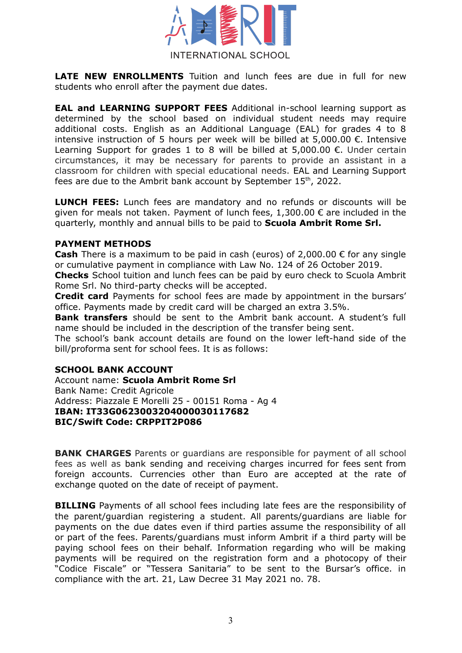

**LATE NEW ENROLLMENTS** Tuition and lunch fees are due in full for new students who enroll after the payment due dates.

**EAL and LEARNING SUPPORT FEES** Additional in-school learning support as determined by the school based on individual student needs may require additional costs. English as an Additional Language (EAL) for grades 4 to 8 intensive instruction of 5 hours per week will be billed at 5,000.00 €. Intensive Learning Support for grades 1 to 8 will be billed at 5,000.00 €. Under certain circumstances, it may be necessary for parents to provide an assistant in a classroom for children with special educational needs. EAL and Learning Support fees are due to the Ambrit bank account by September  $15<sup>th</sup>$ , 2022.

**LUNCH FEES:** Lunch fees are mandatory and no refunds or discounts will be given for meals not taken. Payment of lunch fees,  $1,300.00 \in \text{are included in the}$ quarterly, monthly and annual bills to be paid to **Scuola Ambrit Rome Srl.**

## **PAYMENT METHODS**

**Cash** There is a maximum to be paid in cash (euros) of 2,000.00 € for any single or cumulative payment in compliance with Law No. 124 of 26 October 2019.

**Checks** School tuition and lunch fees can be paid by euro check to Scuola Ambrit Rome Srl. No third-party checks will be accepted.

**Credit card** Payments for school fees are made by appointment in the bursars' office. Payments made by credit card will be charged an extra 3.5%.

**Bank transfers** should be sent to the Ambrit bank account. A student's full name should be included in the description of the transfer being sent.

The school's bank account details are found on the lower left-hand side of the bill/proforma sent for school fees. It is as follows:

#### **SCHOOL BANK ACCOUNT**

Account name: **Scuola Ambrit Rome Srl** Bank Name: Credit Agricole Address: Piazzale E Morelli 25 - 00151 Roma - Ag 4 **IBAN: IT33G0623003204000030117682 BIC/Swift Code: CRPPIT2P086**

**BANK CHARGES** Parents or guardians are responsible for payment of all school fees as well as bank sending and receiving charges incurred for fees sent from foreign accounts. Currencies other than Euro are accepted at the rate of exchange quoted on the date of receipt of payment.

**BILLING** Payments of all school fees including late fees are the responsibility of the parent/guardian registering a student. All parents/guardians are liable for payments on the due dates even if third parties assume the responsibility of all or part of the fees. Parents/guardians must inform Ambrit if a third party will be paying school fees on their behalf. Information regarding who will be making payments will be required on the registration form and a photocopy of their "Codice Fiscale" or "Tessera Sanitaria" to be sent to the Bursar's office. in compliance with the art. 21, Law Decree 31 May 2021 no. 78.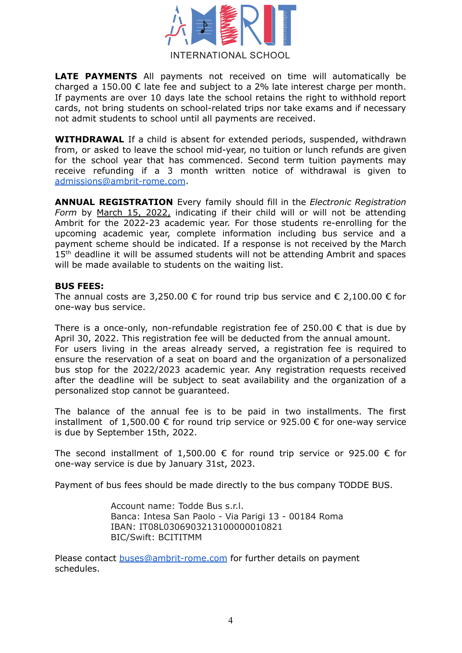

**LATE PAYMENTS** All payments not received on time will automatically be charged a 150.00  $\epsilon$  late fee and subject to a 2% late interest charge per month. If payments are over 10 days late the school retains the right to withhold report cards, not bring students on school-related trips nor take exams and if necessary not admit students to school until all payments are received.

**WITHDRAWAL** If a child is absent for extended periods, suspended, withdrawn from, or asked to leave the school mid-year, no tuition or lunch refunds are given for the school year that has commenced. Second term tuition payments may receive refunding if a 3 month written notice of withdrawal is given to [admissions@ambrit-rome.com](mailto:admissions@ambrit-rome.com).

**ANNUAL REGISTRATION** Every family should fill in the *Electronic Registration Form* by March 15, 2022, indicating if their child will or will not be attending Ambrit for the 2022-23 academic year. For those students re-enrolling for the upcoming academic year, complete information including bus service and a payment scheme should be indicated. If a response is not received by the March 15<sup>th</sup> deadline it will be assumed students will not be attending Ambrit and spaces will be made available to students on the waiting list.

#### **BUS FEES:**

The annual costs are 3,250.00  $\epsilon$  for round trip bus service and  $\epsilon$  2,100.00  $\epsilon$  for one-way bus service.

There is a once-only, non-refundable registration fee of 250.00  $\epsilon$  that is due by April 30, 2022. This registration fee will be deducted from the annual amount. For users living in the areas already served, a registration fee is required to ensure the reservation of a seat on board and the organization of a personalized bus stop for the 2022/2023 academic year. Any registration requests received after the deadline will be subject to seat availability and the organization of a personalized stop cannot be guaranteed.

The balance of the annual fee is to be paid in two installments. The first installment of 1,500.00 € for round trip service or 925.00 € for one-way service is due by September 15th, 2022.

The second installment of 1,500.00  $\epsilon$  for round trip service or 925.00  $\epsilon$  for one-way service is due by January 31st, 2023.

Payment of bus fees should be made directly to the bus company TODDE BUS.

Account name: Todde Bus s.r.l. Banca: Intesa San Paolo - Via Parigi 13 - 00184 Roma IBAN: IT08L0306903213100000010821 BIC/Swift: BCITITMM

Please contact [buses@ambrit-rome.com](mailto:buses@ambrit-rome.com) for further details on payment schedules.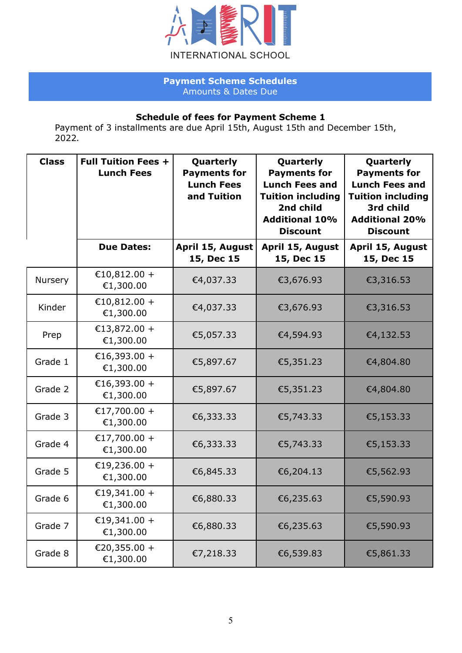

# **Payment Scheme Schedules** Amounts & Dates Due

# **Schedule of fees for Payment Scheme 1**

Payment of 3 installments are due April 15th, August 15th and December 15th, 2022*.*

| <b>Class</b>   | <b>Full Tuition Fees +</b><br><b>Lunch Fees</b> | Quarterly<br><b>Payments for</b><br><b>Lunch Fees</b><br>and Tuition | Quarterly<br><b>Payments for</b><br><b>Lunch Fees and</b><br><b>Tuition including</b><br>2nd child<br><b>Additional 10%</b><br><b>Discount</b> | Quarterly<br><b>Payments for</b><br><b>Lunch Fees and</b><br><b>Tuition including</b><br>3rd child<br><b>Additional 20%</b><br><b>Discount</b> |
|----------------|-------------------------------------------------|----------------------------------------------------------------------|------------------------------------------------------------------------------------------------------------------------------------------------|------------------------------------------------------------------------------------------------------------------------------------------------|
|                | <b>Due Dates:</b>                               | April 15, August<br>15, Dec 15                                       | April 15, August<br>15, Dec 15                                                                                                                 | April 15, August<br>15, Dec 15                                                                                                                 |
| <b>Nursery</b> | €10,812.00 +<br>€1,300.00                       | €4,037.33                                                            | €3,676.93                                                                                                                                      | €3,316.53                                                                                                                                      |
| Kinder         | €10,812.00 +<br>€1,300.00                       | €4,037.33                                                            | €3,676.93                                                                                                                                      | €3,316.53                                                                                                                                      |
| Prep           | €13,872.00 +<br>€1,300.00                       | €5,057.33                                                            | €4,594.93                                                                                                                                      | €4,132.53                                                                                                                                      |
| Grade 1        | €16,393.00 +<br>€1,300.00                       | €5,897.67                                                            | €5,351.23                                                                                                                                      | €4,804.80                                                                                                                                      |
| Grade 2        | €16,393.00 +<br>€1,300.00                       | €5,897.67                                                            | €5,351.23                                                                                                                                      | €4,804.80                                                                                                                                      |
| Grade 3        | €17,700.00 +<br>€1,300.00                       | €6,333.33                                                            | €5,743.33                                                                                                                                      | €5,153.33                                                                                                                                      |
| Grade 4        | €17,700.00 +<br>€1,300.00                       | €6,333.33                                                            | €5,743.33                                                                                                                                      | €5,153.33                                                                                                                                      |
| Grade 5        | €19,236.00 +<br>€1,300.00                       | €6,845.33                                                            | €6,204.13                                                                                                                                      | €5,562.93                                                                                                                                      |
| Grade 6        | €19,341.00 +<br>€1,300.00                       | €6,880.33                                                            | €6,235.63                                                                                                                                      | €5,590.93                                                                                                                                      |
| Grade 7        | €19,341.00 +<br>€1,300.00                       | €6,880.33                                                            | €6,235.63                                                                                                                                      | €5,590.93                                                                                                                                      |
| Grade 8        | €20,355.00 +<br>€1,300.00                       | €7,218.33                                                            | €6,539.83                                                                                                                                      | €5,861.33                                                                                                                                      |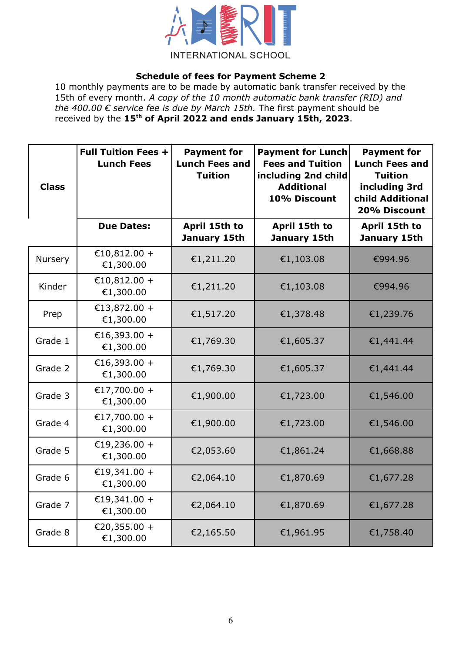

# **Schedule of fees for Payment Scheme 2**

10 monthly payments are to be made by automatic bank transfer received by the 15th of every month. *A copy of the 10 month automatic bank transfer (RID) and the 400.00 € service fee is due by March 15th.* The first payment should be received by the 15<sup>th</sup> of April 2022 and ends January 15th, 2023.

| <b>Class</b> | <b>Full Tuition Fees +</b><br><b>Lunch Fees</b> | <b>Payment for</b><br><b>Lunch Fees and</b><br><b>Tuition</b> | <b>Payment for Lunch</b><br><b>Fees and Tuition</b><br>including 2nd child<br><b>Additional</b><br>10% Discount | <b>Payment for</b><br><b>Lunch Fees and</b><br><b>Tuition</b><br>including 3rd<br>child Additional<br>20% Discount |
|--------------|-------------------------------------------------|---------------------------------------------------------------|-----------------------------------------------------------------------------------------------------------------|--------------------------------------------------------------------------------------------------------------------|
|              | <b>Due Dates:</b>                               | April 15th to<br>January 15th                                 | April 15th to<br>January 15th                                                                                   | April 15th to<br>January 15th                                                                                      |
| Nursery      | €10,812.00 +<br>€1,300.00                       | €1,211.20                                                     | €1,103.08                                                                                                       | €994.96                                                                                                            |
| Kinder       | €10,812.00 +<br>€1,300.00                       | €1,211.20                                                     | €1,103.08                                                                                                       | €994.96                                                                                                            |
| Prep         | €13,872.00 +<br>€1,300.00                       | €1,517.20                                                     | €1,378.48                                                                                                       | €1,239.76                                                                                                          |
| Grade 1      | €16,393.00 +<br>€1,300.00                       | €1,769.30                                                     | €1,605.37                                                                                                       | €1,441.44                                                                                                          |
| Grade 2      | €16,393.00 +<br>€1,300.00                       | €1,769.30                                                     | €1,605.37                                                                                                       | €1,441.44                                                                                                          |
| Grade 3      | €17,700.00 +<br>€1,300.00                       | €1,900.00                                                     | €1,723.00                                                                                                       | €1,546.00                                                                                                          |
| Grade 4      | €17,700.00 +<br>€1,300.00                       | €1,900.00                                                     | €1,723.00                                                                                                       | €1,546.00                                                                                                          |
| Grade 5      | €19,236.00 +<br>€1,300.00                       | €2,053.60                                                     | €1,861.24                                                                                                       | €1,668.88                                                                                                          |
| Grade 6      | €19,341.00 +<br>€1,300.00                       | €2,064.10                                                     | €1,870.69                                                                                                       | €1,677.28                                                                                                          |
| Grade 7      | €19,341.00 +<br>€1,300.00                       | €2,064.10                                                     | €1,870.69                                                                                                       | €1,677.28                                                                                                          |
| Grade 8      | €20,355.00 +<br>€1,300.00                       | €2,165.50                                                     | €1,961.95                                                                                                       | €1,758.40                                                                                                          |